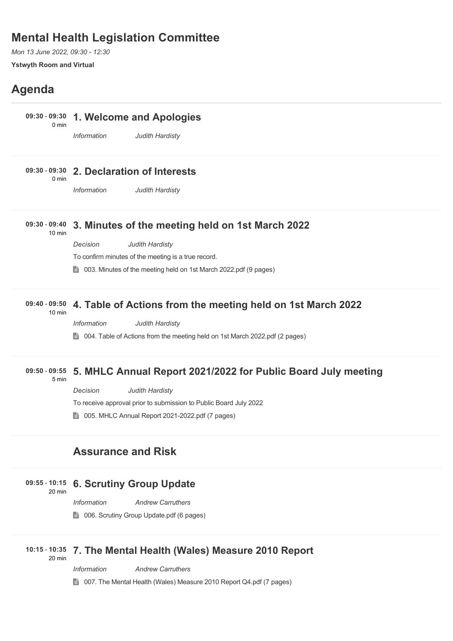## **Mental Health Legislation Committee**

*Mon 13 June 2022, 09:30 - 12:30* **Ystwyth Room and Virtual**

# **Agenda**

#### **1. Welcome and Apologies 09:30** - **09:30**

0 min

*Information Judith Hardisty*

#### **2. Declaration of Interests 09:30** - **09:30** 0 min

*Information Judith Hardisty*

#### **3. Minutes of the meeting held on 1st March 2022 09:30** - **09:40** 10 min

*Decision Judith Hardisty*

To confirm minutes of the meeting is a true record.

■ 003. Minutes of the meeting held on 1st March 2022.pdf (9 pages)

#### **4. Table of Actions from the meeting held on 1st March 2022 09:40** - **09:50**

10 min

*Information Judith Hardisty*

■ 004. Table of Actions from the meeting held on 1st March 2022.pdf (2 pages)

#### **5. MHLC Annual Report 2021/2022 for Public Board July meeting 09:50** - **09:55**

5 min

*Decision Judith Hardisty*

To receive approval prior to submission to Public Board July 2022

**t** 005. MHLC Annual Report 2021-2022.pdf (7 pages)

## **Assurance and Risk**

### **6. Scrutiny Group Update 09:55** - **10:15** 20 min

*Information Andrew Carruthers*

**1** 006. Scrutiny Group Update.pdf (6 pages)

### **7. The Mental Health (Wales) Measure 2010 Report 10:15** - **10:35** 20 min

*Information Andrew Carruthers*

■ 007. The Mental Health (Wales) Measure 2010 Report Q4.pdf (7 pages)